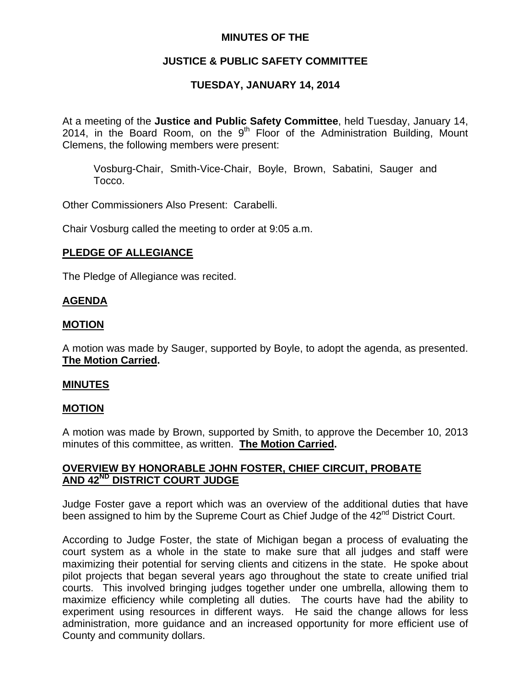## **MINUTES OF THE**

# **JUSTICE & PUBLIC SAFETY COMMITTEE**

# **TUESDAY, JANUARY 14, 2014**

At a meeting of the **Justice and Public Safety Committee**, held Tuesday, January 14, 2014, in the Board Room, on the  $9<sup>th</sup>$  Floor of the Administration Building, Mount Clemens, the following members were present:

Vosburg-Chair, Smith-Vice-Chair, Boyle, Brown, Sabatini, Sauger and Tocco.

Other Commissioners Also Present: Carabelli.

Chair Vosburg called the meeting to order at 9:05 a.m.

## **PLEDGE OF ALLEGIANCE**

The Pledge of Allegiance was recited.

### **AGENDA**

### **MOTION**

A motion was made by Sauger, supported by Boyle, to adopt the agenda, as presented. **The Motion Carried.** 

#### **MINUTES**

#### **MOTION**

A motion was made by Brown, supported by Smith, to approve the December 10, 2013 minutes of this committee, as written. **The Motion Carried.** 

## **OVERVIEW BY HONORABLE JOHN FOSTER, CHIEF CIRCUIT, PROBATE AND 42ND DISTRICT COURT JUDGE**

Judge Foster gave a report which was an overview of the additional duties that have been assigned to him by the Supreme Court as Chief Judge of the 42<sup>nd</sup> District Court.

According to Judge Foster, the state of Michigan began a process of evaluating the court system as a whole in the state to make sure that all judges and staff were maximizing their potential for serving clients and citizens in the state. He spoke about pilot projects that began several years ago throughout the state to create unified trial courts. This involved bringing judges together under one umbrella, allowing them to maximize efficiency while completing all duties. The courts have had the ability to experiment using resources in different ways. He said the change allows for less administration, more guidance and an increased opportunity for more efficient use of County and community dollars.